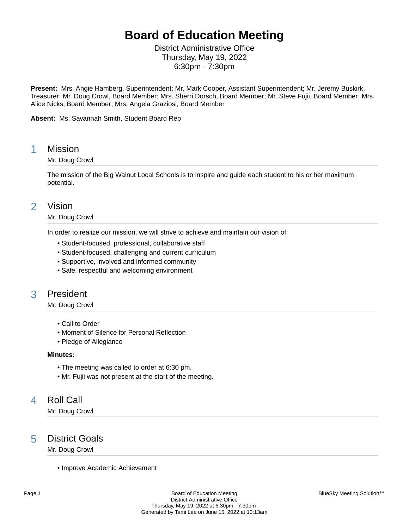# **Board of Education Meeting**

District Administrative Office Thursday, May 19, 2022 6:30pm - 7:30pm

**Present:** Mrs. Angie Hamberg, Superintendent; Mr. Mark Cooper, Assistant Superintendent; Mr. Jeremy Buskirk, Treasurer; Mr. Doug Crowl, Board Member; Mrs. Sherri Dorsch, Board Member; Mr. Steve Fujii, Board Member; Mrs. Alice Nicks, Board Member; Mrs. Angela Graziosi, Board Member

**Absent:** Ms. Savannah Smith, Student Board Rep

## 1 Mission

### Mr. Doug Crowl

The mission of the Big Walnut Local Schools is to inspire and guide each student to his or her maximum potential.

## 2 Vision

### Mr. Doug Crowl

In order to realize our mission, we will strive to achieve and maintain our vision of:

- Student-focused, professional, collaborative staff
- Student-focused, challenging and current curriculum
- Supportive, involved and informed community
- Safe, respectful and welcoming environment

## 3 President

Mr. Doug Crowl

- Call to Order
- Moment of Silence for Personal Reflection
- Pledge of Allegiance

#### **Minutes:**

- The meeting was called to order at 6:30 pm.
- Mr. Fujii was not present at the start of the meeting.

## 4 Roll Call

Mr. Doug Crowl

## 5 District Goals

Mr. Doug Crowl

• Improve Academic Achievement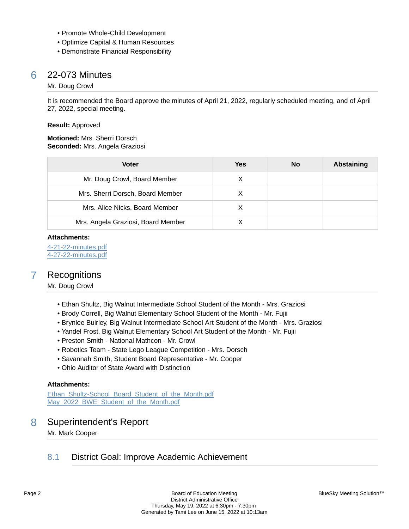- Promote Whole-Child Development
- Optimize Capital & Human Resources
- Demonstrate Financial Responsibility

## 6 22-073 Minutes

#### Mr. Doug Crowl

It is recommended the Board approve the minutes of April 21, 2022, regularly scheduled meeting, and of April 27, 2022, special meeting.

#### **Result:** Approved

#### **Motioned:** Mrs. Sherri Dorsch **Seconded:** Mrs. Angela Graziosi

| <b>Voter</b>                       | Yes | <b>No</b> | Abstaining |
|------------------------------------|-----|-----------|------------|
| Mr. Doug Crowl, Board Member       | X   |           |            |
| Mrs. Sherri Dorsch, Board Member   | Χ   |           |            |
| Mrs. Alice Nicks, Board Member     |     |           |            |
| Mrs. Angela Graziosi, Board Member |     |           |            |

#### **Attachments:**

[4-21-22-minutes.pdf](https://bigwalnut.blueskymeeting.com/meeting_groups/274/item_attachments/67090) [4-27-22-minutes.pdf](https://bigwalnut.blueskymeeting.com/meeting_groups/274/item_attachments/67091)

## 7 Recognitions

### Mr. Doug Crowl

- Ethan Shultz, Big Walnut Intermediate School Student of the Month Mrs. Graziosi
- Brody Correll, Big Walnut Elementary School Student of the Month Mr. Fujii
- Brynlee Buirley, Big Walnut Intermediate School Art Student of the Month Mrs. Graziosi
- Yandel Frost, Big Walnut Elementary School Art Student of the Month Mr. Fujii
- Preston Smith National Mathcon Mr. Crowl
- Robotics Team State Lego League Competition Mrs. Dorsch
- Savannah Smith, Student Board Representative Mr. Cooper
- Ohio Auditor of State Award with Distinction

### **Attachments:**

[Ethan\\_Shultz-School\\_Board\\_Student\\_of\\_the\\_Month.pdf](https://bigwalnut.blueskymeeting.com/meeting_groups/274/item_attachments/67119) May 2022 BWE Student of the Month.pdf

## 8 Superintendent's Report

Mr. Mark Cooper

## 8.1 District Goal: Improve Academic Achievement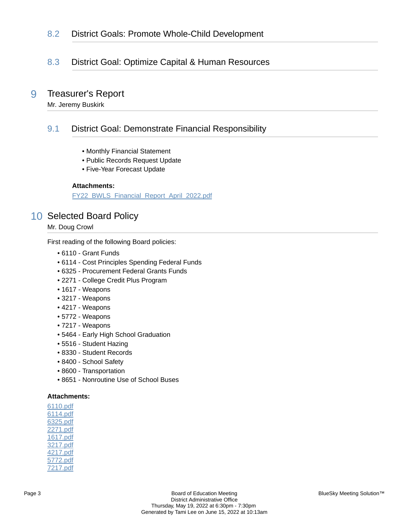## 8.2 District Goals: Promote Whole-Child Development

## 8.3 District Goal: Optimize Capital & Human Resources

## 9 Treasurer's Report

Mr. Jeremy Buskirk

## 9.1 District Goal: Demonstrate Financial Responsibility

- Monthly Financial Statement
- Public Records Request Update
- Five-Year Forecast Update

### **Attachments:**

[FY22\\_BWLS\\_Financial\\_Report\\_April\\_2022.pdf](https://bigwalnut.blueskymeeting.com/meeting_groups/274/item_attachments/66850)

## 10 Selected Board Policy

Mr. Doug Crowl

First reading of the following Board policies:

- 6110 Grant Funds
- 6114 Cost Principles Spending Federal Funds
- 6325 Procurement Federal Grants Funds
- 2271 College Credit Plus Program
- 1617 Weapons
- 3217 Weapons
- 4217 Weapons
- 5772 Weapons
- 7217 Weapons
- 5464 Early High School Graduation
- 5516 Student Hazing
- 8330 Student Records
- 8400 School Safety
- 8600 Transportation
- 8651 Nonroutine Use of School Buses

#### **Attachments:**

[6110.pdf](https://bigwalnut.blueskymeeting.com/meeting_groups/274/item_attachments/66954) [6114.pdf](https://bigwalnut.blueskymeeting.com/meeting_groups/274/item_attachments/66955) [6325.pdf](https://bigwalnut.blueskymeeting.com/meeting_groups/274/item_attachments/66956) [2271.pdf](https://bigwalnut.blueskymeeting.com/meeting_groups/274/item_attachments/66957) [1617.pdf](https://bigwalnut.blueskymeeting.com/meeting_groups/274/item_attachments/66958) [3217.pdf](https://bigwalnut.blueskymeeting.com/meeting_groups/274/item_attachments/66959) [4217.pdf](https://bigwalnut.blueskymeeting.com/meeting_groups/274/item_attachments/66960) [5772.pdf](https://bigwalnut.blueskymeeting.com/meeting_groups/274/item_attachments/66961) [7217.pdf](https://bigwalnut.blueskymeeting.com/meeting_groups/274/item_attachments/66962)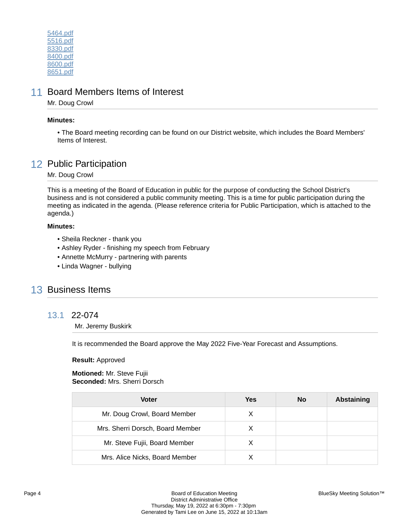[5464.pdf](https://bigwalnut.blueskymeeting.com/meeting_groups/274/item_attachments/66963) [5516.pdf](https://bigwalnut.blueskymeeting.com/meeting_groups/274/item_attachments/66971) [8330.pdf](https://bigwalnut.blueskymeeting.com/meeting_groups/274/item_attachments/67029) [8400.pdf](https://bigwalnut.blueskymeeting.com/meeting_groups/274/item_attachments/67033) [8600.pdf](https://bigwalnut.blueskymeeting.com/meeting_groups/274/item_attachments/67034) [8651.pdf](https://bigwalnut.blueskymeeting.com/meeting_groups/274/item_attachments/67035)

## 11 Board Members Items of Interest

Mr. Doug Crowl

### **Minutes:**

• The Board meeting recording can be found on our District website, which includes the Board Members' Items of Interest.

## 12 Public Participation

Mr. Doug Crowl

This is a meeting of the Board of Education in public for the purpose of conducting the School District's business and is not considered a public community meeting. This is a time for public participation during the meeting as indicated in the agenda. (Please reference criteria for Public Participation, which is attached to the agenda.)

### **Minutes:**

- Sheila Reckner thank you
- Ashley Ryder finishing my speech from February
- Annette McMurry partnering with parents
- Linda Wagner bullying

## 13 Business Items

### 13.1 22-074

Mr. Jeremy Buskirk

It is recommended the Board approve the May 2022 Five-Year Forecast and Assumptions.

### **Result:** Approved

**Motioned:** Mr. Steve Fujii **Seconded:** Mrs. Sherri Dorsch

| Voter                            | Yes | No | Abstaining |
|----------------------------------|-----|----|------------|
| Mr. Doug Crowl, Board Member     | X   |    |            |
| Mrs. Sherri Dorsch, Board Member | x   |    |            |
| Mr. Steve Fujii, Board Member    | X   |    |            |
| Mrs. Alice Nicks, Board Member   |     |    |            |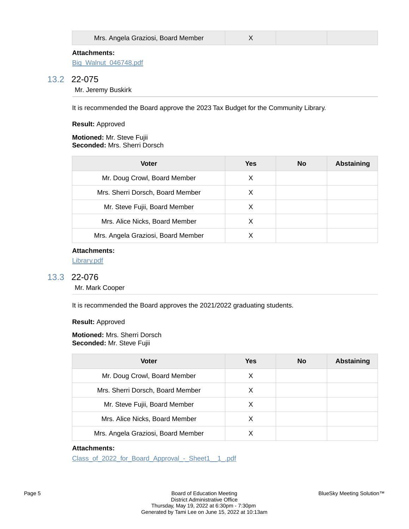| Mrs. Angela Graziosi, Board Member |  |
|------------------------------------|--|
|                                    |  |

[Big\\_Walnut\\_046748.pdf](https://bigwalnut.blueskymeeting.com/meeting_groups/274/item_attachments/66847)

### 13.2 22-075

Mr. Jeremy Buskirk

It is recommended the Board approve the 2023 Tax Budget for the Community Library.

**Result:** Approved

#### **Motioned:** Mr. Steve Fujii **Seconded:** Mrs. Sherri Dorsch

| <b>Voter</b>                       | <b>Yes</b> | No | <b>Abstaining</b> |
|------------------------------------|------------|----|-------------------|
| Mr. Doug Crowl, Board Member       | X          |    |                   |
| Mrs. Sherri Dorsch, Board Member   | X          |    |                   |
| Mr. Steve Fujii, Board Member      | X          |    |                   |
| Mrs. Alice Nicks, Board Member     | X          |    |                   |
| Mrs. Angela Graziosi, Board Member | x          |    |                   |

### **Attachments:**

[Library.pdf](https://bigwalnut.blueskymeeting.com/meeting_groups/274/item_attachments/66796)

## 13.3 22-076

Mr. Mark Cooper

It is recommended the Board approves the 2021/2022 graduating students.

**Result:** Approved

#### **Motioned:** Mrs. Sherri Dorsch **Seconded:** Mr. Steve Fujii

| Voter                              | Yes | <b>No</b> | <b>Abstaining</b> |
|------------------------------------|-----|-----------|-------------------|
| Mr. Doug Crowl, Board Member       | X   |           |                   |
| Mrs. Sherri Dorsch, Board Member   | X   |           |                   |
| Mr. Steve Fujii, Board Member      | X   |           |                   |
| Mrs. Alice Nicks, Board Member     | X   |           |                   |
| Mrs. Angela Graziosi, Board Member |     |           |                   |

### **Attachments:**

Class\_of\_2022\_for\_Board\_Approval - Sheet1\_1\_.pdf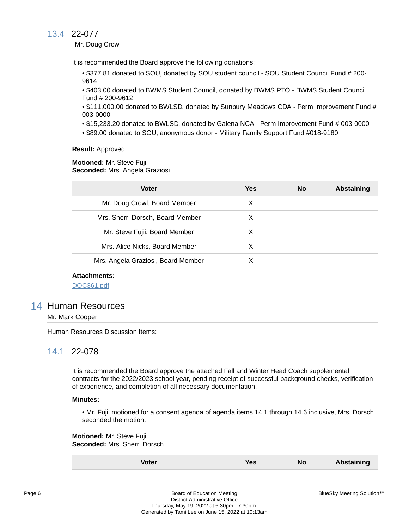## 13.4 22-077

#### Mr. Doug Crowl

It is recommended the Board approve the following donations:

• \$377.81 donated to SOU, donated by SOU student council - SOU Student Council Fund # 200- 9614

• \$403.00 donated to BWMS Student Council, donated by BWMS PTO - BWMS Student Council Fund # 200-9612

• \$111,000.00 donated to BWLSD, donated by Sunbury Meadows CDA - Perm Improvement Fund # 003-0000

- \$15,233.20 donated to BWLSD, donated by Galena NCA Perm Improvement Fund # 003-0000
- \$89.00 donated to SOU, anonymous donor Military Family Support Fund #018-9180

#### **Result:** Approved

**Motioned:** Mr. Steve Fujii **Seconded:** Mrs. Angela Graziosi

| <b>Voter</b>                       | Yes | <b>No</b> | <b>Abstaining</b> |
|------------------------------------|-----|-----------|-------------------|
| Mr. Doug Crowl, Board Member       | х   |           |                   |
| Mrs. Sherri Dorsch, Board Member   | X   |           |                   |
| Mr. Steve Fujii, Board Member      | х   |           |                   |
| Mrs. Alice Nicks, Board Member     | х   |           |                   |
| Mrs. Angela Graziosi, Board Member |     |           |                   |

### **Attachments:**

[DOC361.pdf](https://bigwalnut.blueskymeeting.com/meeting_groups/274/item_attachments/67079)

## 14 Human Resources

Mr. Mark Cooper

Human Resources Discussion Items:

### 14.1 22-078

It is recommended the Board approve the attached Fall and Winter Head Coach supplemental contracts for the 2022/2023 school year, pending receipt of successful background checks, verification of experience, and completion of all necessary documentation.

#### **Minutes:**

• Mr. Fujii motioned for a consent agenda of agenda items 14.1 through 14.6 inclusive, Mrs. Dorsch seconded the motion.

**Motioned:** Mr. Steve Fujii **Seconded:** Mrs. Sherri Dorsch

| Voter | <b>Yes</b> | <b>No</b> | <b>Abstaining</b> |
|-------|------------|-----------|-------------------|
|-------|------------|-----------|-------------------|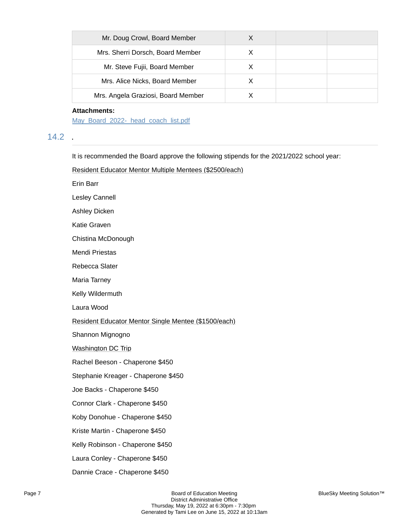| Mr. Doug Crowl, Board Member       |  |  |
|------------------------------------|--|--|
| Mrs. Sherri Dorsch, Board Member   |  |  |
| Mr. Steve Fujii, Board Member      |  |  |
| Mrs. Alice Nicks, Board Member     |  |  |
| Mrs. Angela Graziosi, Board Member |  |  |

### **Attachments:**

[May\\_Board\\_2022-\\_head\\_coach\\_list.pdf](https://bigwalnut.blueskymeeting.com/meeting_groups/274/item_attachments/66793)

## 14.2 .

It is recommended the Board approve the following stipends for the 2021/2022 school year:

Resident Educator Mentor Multiple Mentees (\$2500/each)

Erin Barr

Lesley Cannell

Ashley Dicken

Katie Graven

Chistina McDonough

Mendi Priestas

Rebecca Slater

Maria Tarney

Kelly Wildermuth

Laura Wood

Resident Educator Mentor Single Mentee (\$1500/each)

Shannon Mignogno

Washington DC Trip

Rachel Beeson - Chaperone \$450

Stephanie Kreager - Chaperone \$450

Joe Backs - Chaperone \$450

Connor Clark - Chaperone \$450

Koby Donohue - Chaperone \$450

Kriste Martin - Chaperone \$450

Kelly Robinson - Chaperone \$450

Laura Conley - Chaperone \$450

Dannie Crace - Chaperone \$450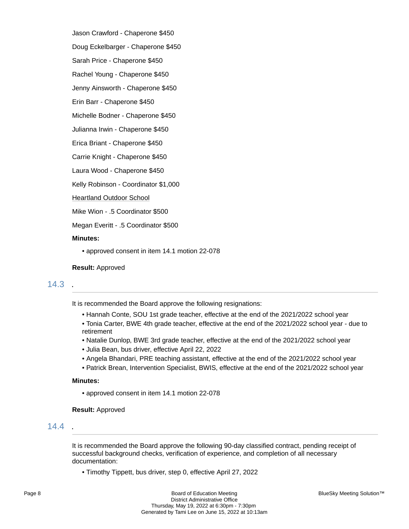Jason Crawford - Chaperone \$450 Doug Eckelbarger - Chaperone \$450

Sarah Price - Chaperone \$450

Rachel Young - Chaperone \$450

Jenny Ainsworth - Chaperone \$450

Erin Barr - Chaperone \$450

Michelle Bodner - Chaperone \$450

Julianna Irwin - Chaperone \$450

Erica Briant - Chaperone \$450

Carrie Knight - Chaperone \$450

Laura Wood - Chaperone \$450

Kelly Robinson - Coordinator \$1,000

Heartland Outdoor School

Mike Wion - .5 Coordinator \$500

Megan Everitt - .5 Coordinator \$500

#### **Minutes:**

• approved consent in item 14.1 motion 22-078

#### **Result:** Approved

### 14.3 .

It is recommended the Board approve the following resignations:

- Hannah Conte, SOU 1st grade teacher, effective at the end of the 2021/2022 school year
- Tonia Carter, BWE 4th grade teacher, effective at the end of the 2021/2022 school year due to retirement
- Natalie Dunlop, BWE 3rd grade teacher, effective at the end of the 2021/2022 school year
- Julia Bean, bus driver, effective April 22, 2022
- Angela Bhandari, PRE teaching assistant, effective at the end of the 2021/2022 school year
- Patrick Brean, Intervention Specialist, BWIS, effective at the end of the 2021/2022 school year

### **Minutes:**

• approved consent in item 14.1 motion 22-078

#### **Result:** Approved

## 14.4 .

It is recommended the Board approve the following 90-day classified contract, pending receipt of successful background checks, verification of experience, and completion of all necessary documentation:

• Timothy Tippett, bus driver, step 0, effective April 27, 2022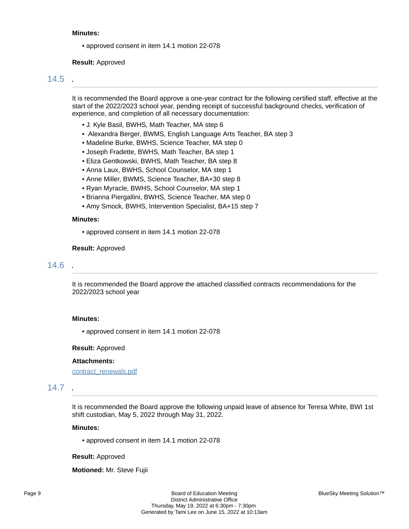#### **Minutes:**

• approved consent in item 14.1 motion 22-078

**Result:** Approved

### 14.5 .

It is recommended the Board approve a one-year contract for the following certified staff, effective at the start of the 2022/2023 school year, pending receipt of successful background checks, verification of experience, and completion of all necessary documentation:

- J. Kyle Basil, BWHS, Math Teacher, MA step 6
- Alexandra Berger, BWMS, English Language Arts Teacher, BA step 3
- Madeline Burke, BWHS, Science Teacher, MA step 0
- Joseph Fradette, BWHS, Math Teacher, BA step 1
- Eliza Gentkowski, BWHS, Math Teacher, BA step 8
- Anna Laux, BWHS, School Counselor, MA step 1
- Anne Miller, BWMS, Science Teacher, BA+30 step 8
- Ryan Myracle, BWHS, School Counselor, MA step 1
- Brianna Piergallini, BWHS, Science Teacher, MA step 0
- Amy Smock, BWHS, Intervention Specialist, BA+15 step 7

#### **Minutes:**

• approved consent in item 14.1 motion 22-078

#### **Result:** Approved

### 14.6 .

It is recommended the Board approve the attached classified contracts recommendations for the 2022/2023 school year

#### **Minutes:**

• approved consent in item 14.1 motion 22-078

#### **Result:** Approved

#### **Attachments:**

[contract\\_renewals.pdf](https://bigwalnut.blueskymeeting.com/meeting_groups/274/item_attachments/67028)

## 14.7 .

It is recommended the Board approve the following unpaid leave of absence for Teresa White, BWI 1st shift custodian, May 5, 2022 through May 31, 2022.

### **Minutes:**

• approved consent in item 14.1 motion 22-078

#### **Result:** Approved

**Motioned:** Mr. Steve Fujii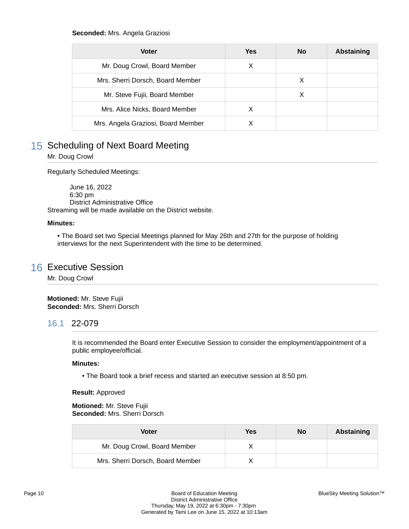#### **Seconded:** Mrs. Angela Graziosi

| <b>Voter</b>                       | Yes | <b>No</b> | <b>Abstaining</b> |
|------------------------------------|-----|-----------|-------------------|
| Mr. Doug Crowl, Board Member       | х   |           |                   |
| Mrs. Sherri Dorsch, Board Member   |     | х         |                   |
| Mr. Steve Fujii, Board Member      |     | X         |                   |
| Mrs. Alice Nicks, Board Member     | X   |           |                   |
| Mrs. Angela Graziosi, Board Member |     |           |                   |

## 15 Scheduling of Next Board Meeting

Mr. Doug Crowl

Regularly Scheduled Meetings:

 June 16, 2022 6:30 pm District Administrative Office Streaming will be made available on the District website.

#### **Minutes:**

• The Board set two Special Meetings planned for May 26th and 27th for the purpose of holding interviews for the next Superintendent with the time to be determined.

## 16 Executive Session

Mr. Doug Crowl

**Motioned:** Mr. Steve Fujii **Seconded:** Mrs. Sherri Dorsch

## 16.1 22-079

It is recommended the Board enter Executive Session to consider the employment/appointment of a public employee/official.

#### **Minutes:**

• The Board took a brief recess and started an executive session at 8:50 pm.

### **Result:** Approved

**Motioned:** Mr. Steve Fujii **Seconded:** Mrs. Sherri Dorsch

| Voter                            | Yes | No | Abstaining |
|----------------------------------|-----|----|------------|
| Mr. Doug Crowl, Board Member     |     |    |            |
| Mrs. Sherri Dorsch, Board Member |     |    |            |